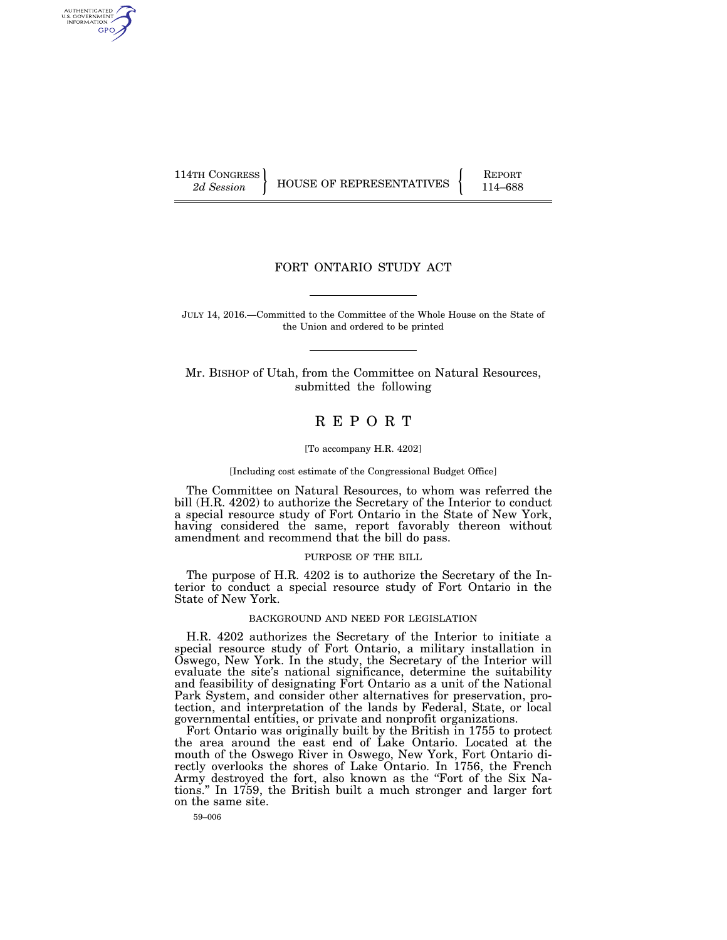AUTHENTICATED U.S. GOVERNMENT GPO

114TH CONGRESS HOUSE OF REPRESENTATIVES FEPORT 114–688

# FORT ONTARIO STUDY ACT

JULY 14, 2016.—Committed to the Committee of the Whole House on the State of the Union and ordered to be printed

Mr. BISHOP of Utah, from the Committee on Natural Resources, submitted the following

# R E P O R T

# [To accompany H.R. 4202]

#### [Including cost estimate of the Congressional Budget Office]

The Committee on Natural Resources, to whom was referred the bill (H.R. 4202) to authorize the Secretary of the Interior to conduct a special resource study of Fort Ontario in the State of New York, having considered the same, report favorably thereon without amendment and recommend that the bill do pass.

#### PURPOSE OF THE BILL

The purpose of H.R. 4202 is to authorize the Secretary of the Interior to conduct a special resource study of Fort Ontario in the State of New York.

# BACKGROUND AND NEED FOR LEGISLATION

H.R. 4202 authorizes the Secretary of the Interior to initiate a special resource study of Fort Ontario, a military installation in Oswego, New York. In the study, the Secretary of the Interior will evaluate the site's national significance, determine the suitability and feasibility of designating Fort Ontario as a unit of the National Park System, and consider other alternatives for preservation, protection, and interpretation of the lands by Federal, State, or local governmental entities, or private and nonprofit organizations.

Fort Ontario was originally built by the British in 1755 to protect the area around the east end of Lake Ontario. Located at the mouth of the Oswego River in Oswego, New York, Fort Ontario directly overlooks the shores of Lake Ontario. In 1756, the French Army destroyed the fort, also known as the "Fort of the Six Nations.'' In 1759, the British built a much stronger and larger fort on the same site.

59–006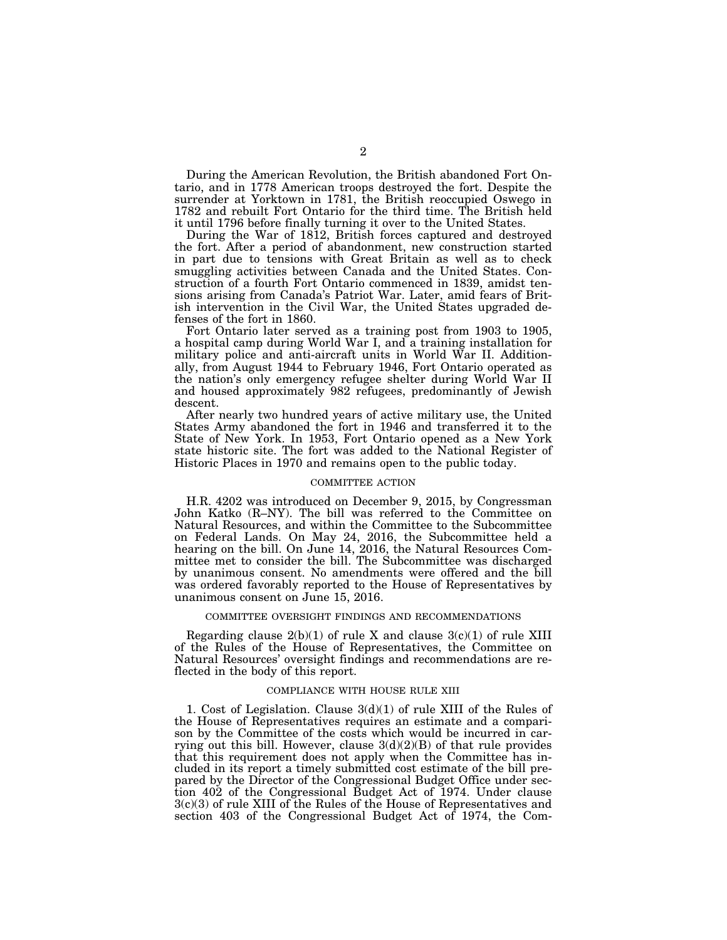During the American Revolution, the British abandoned Fort Ontario, and in 1778 American troops destroyed the fort. Despite the surrender at Yorktown in 1781, the British reoccupied Oswego in 1782 and rebuilt Fort Ontario for the third time. The British held it until 1796 before finally turning it over to the United States.

During the War of 1812, British forces captured and destroyed the fort. After a period of abandonment, new construction started in part due to tensions with Great Britain as well as to check smuggling activities between Canada and the United States. Construction of a fourth Fort Ontario commenced in 1839, amidst tensions arising from Canada's Patriot War. Later, amid fears of British intervention in the Civil War, the United States upgraded defenses of the fort in 1860.

Fort Ontario later served as a training post from 1903 to 1905, a hospital camp during World War I, and a training installation for military police and anti-aircraft units in World War II. Additionally, from August 1944 to February 1946, Fort Ontario operated as the nation's only emergency refugee shelter during World War II and housed approximately 982 refugees, predominantly of Jewish descent.

After nearly two hundred years of active military use, the United States Army abandoned the fort in 1946 and transferred it to the State of New York. In 1953, Fort Ontario opened as a New York state historic site. The fort was added to the National Register of Historic Places in 1970 and remains open to the public today.

### COMMITTEE ACTION

H.R. 4202 was introduced on December 9, 2015, by Congressman John Katko (R–NY). The bill was referred to the Committee on Natural Resources, and within the Committee to the Subcommittee on Federal Lands. On May 24, 2016, the Subcommittee held a hearing on the bill. On June 14, 2016, the Natural Resources Committee met to consider the bill. The Subcommittee was discharged by unanimous consent. No amendments were offered and the bill was ordered favorably reported to the House of Representatives by unanimous consent on June 15, 2016.

#### COMMITTEE OVERSIGHT FINDINGS AND RECOMMENDATIONS

Regarding clause  $2(b)(1)$  of rule X and clause  $3(c)(1)$  of rule XIII of the Rules of the House of Representatives, the Committee on Natural Resources' oversight findings and recommendations are reflected in the body of this report.

### COMPLIANCE WITH HOUSE RULE XIII

1. Cost of Legislation. Clause 3(d)(1) of rule XIII of the Rules of the House of Representatives requires an estimate and a comparison by the Committee of the costs which would be incurred in carrying out this bill. However, clause  $3(d)(2)(B)$  of that rule provides that this requirement does not apply when the Committee has included in its report a timely submitted cost estimate of the bill prepared by the Director of the Congressional Budget Office under section 402 of the Congressional Budget Act of 1974. Under clause 3(c)(3) of rule XIII of the Rules of the House of Representatives and section 403 of the Congressional Budget Act of 1974, the Com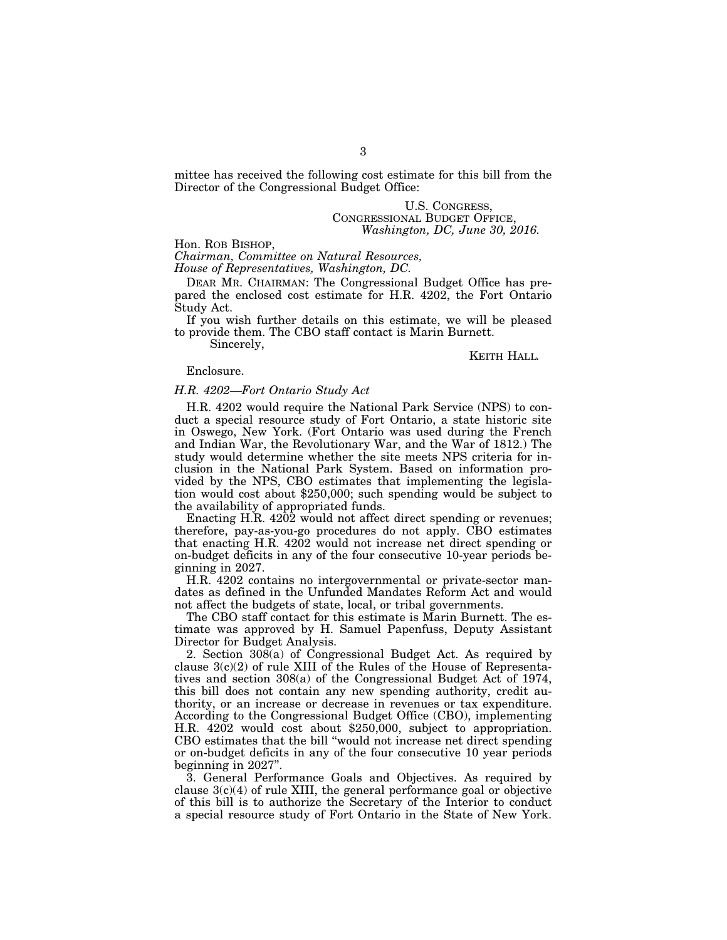mittee has received the following cost estimate for this bill from the Director of the Congressional Budget Office:

> U.S. CONGRESS, CONGRESSIONAL BUDGET OFFICE, *Washington, DC, June 30, 2016.*

Hon. ROB BISHOP,

*Chairman, Committee on Natural Resources,* 

*House of Representatives, Washington, DC.* 

DEAR MR. CHAIRMAN: The Congressional Budget Office has prepared the enclosed cost estimate for H.R. 4202, the Fort Ontario Study Act.

If you wish further details on this estimate, we will be pleased to provide them. The CBO staff contact is Marin Burnett.

Sincerely,

KEITH HALL*.* 

# Enclosure.

# *H.R. 4202—Fort Ontario Study Act*

H.R. 4202 would require the National Park Service (NPS) to conduct a special resource study of Fort Ontario, a state historic site in Oswego, New York. (Fort Ontario was used during the French and Indian War, the Revolutionary War, and the War of 1812.) The study would determine whether the site meets NPS criteria for inclusion in the National Park System. Based on information provided by the NPS, CBO estimates that implementing the legislation would cost about \$250,000; such spending would be subject to the availability of appropriated funds.

Enacting H.R. 4202 would not affect direct spending or revenues; therefore, pay-as-you-go procedures do not apply. CBO estimates that enacting H.R. 4202 would not increase net direct spending or on-budget deficits in any of the four consecutive 10-year periods beginning in 2027.

H.R. 4202 contains no intergovernmental or private-sector mandates as defined in the Unfunded Mandates Reform Act and would not affect the budgets of state, local, or tribal governments.

The CBO staff contact for this estimate is Marin Burnett. The estimate was approved by H. Samuel Papenfuss, Deputy Assistant Director for Budget Analysis.

2. Section 308(a) of Congressional Budget Act. As required by clause  $3(c)(2)$  of rule XIII of the Rules of the House of Representatives and section 308(a) of the Congressional Budget Act of 1974, this bill does not contain any new spending authority, credit authority, or an increase or decrease in revenues or tax expenditure. According to the Congressional Budget Office (CBO), implementing H.R. 4202 would cost about \$250,000, subject to appropriation. CBO estimates that the bill ''would not increase net direct spending or on-budget deficits in any of the four consecutive 10 year periods beginning in 2027''.

3. General Performance Goals and Objectives. As required by clause  $3(c)(4)$  of rule XIII, the general performance goal or objective of this bill is to authorize the Secretary of the Interior to conduct a special resource study of Fort Ontario in the State of New York.